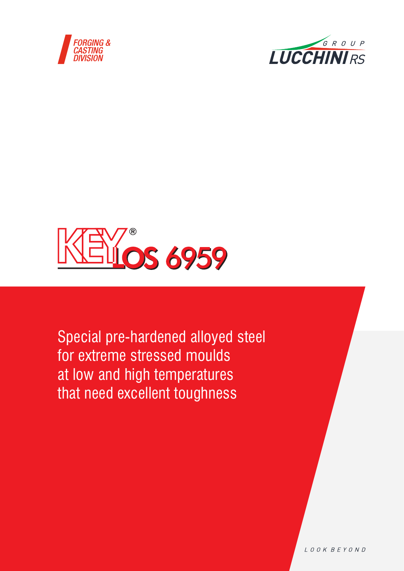





Special pre-hardened alloyed steel for extreme stressed moulds at low and high temperatures that need excellent toughness

LOOK BEYOND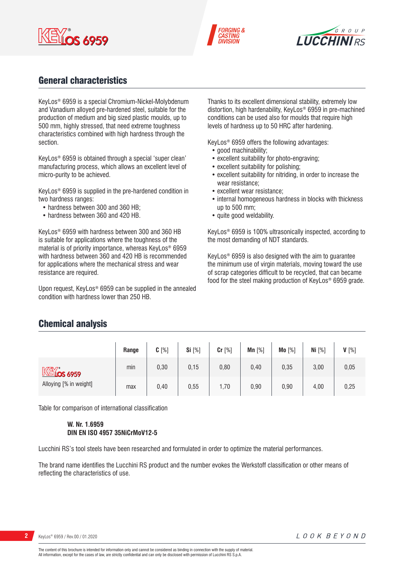





# General characteristics

KeyLos® 6959 is a special Chromium-Nickel-Molybdenum and Vanadium alloyed pre-hardened steel, suitable for the production of medium and big sized plastic moulds, up to 500 mm, highly stressed, that need extreme toughness characteristics combined with high hardness through the section.

KeyLos® 6959 is obtained through a special 'super clean' manufacturing process, which allows an excellent level of micro-purity to be achieved.

KeyLos® 6959 is supplied in the pre-hardened condition in two hardness ranges:

- hardness between 300 and 360 HB;
- hardness between 360 and 420 HB.

KeyLos® 6959 with hardness between 300 and 360 HB is suitable for applications where the toughness of the material is of priority importance, whereas KeyLos® 6959 with hardness between 360 and 420 HB is recommended for applications where the mechanical stress and wear resistance are required.

Upon request, KeyLos® 6959 can be supplied in the annealed condition with hardness lower than 250 HB.

Thanks to its excellent dimensional stability, extremely low distortion, high hardenability, KeyLos® 6959 in pre-machined conditions can be used also for moulds that require high levels of hardness up to 50 HRC after hardening.

KeyLos® 6959 offers the following advantages:

- good machinability:
- excellent suitability for photo-engraving;
- excellent suitability for polishing;
- excellent suitability for nitriding, in order to increase the wear resistance;
- excellent wear resistance;
- internal homogeneous hardness in blocks with thickness up to 500 mm;
- quite good weldability.

KeyLos® 6959 is 100% ultrasonically inspected, according to the most demanding of NDT standards.

KeyLos® 6959 is also designed with the aim to guarantee the minimum use of virgin materials, moving toward the use of scrap categories difficult to be recycled, that can became food for the steel making production of KeyLos® 6959 grade.

## Chemical analysis

|                        | Range | $C[\%]$ | Si [%] | $Cr$ [%] | Mn $[%]$ | Mo [%] | Ni $[%]$ | $V[\%]$ |
|------------------------|-------|---------|--------|----------|----------|--------|----------|---------|
| $M\lll$ 6959           | min   | 0,30    | 0,15   | 0,80     | 0,40     | 0,35   | 3,00     | 0,05    |
| Alloying [% in weight] | max   | 0,40    | 0,55   | 1,70     | 0,90     | 0,90   | 4,00     | 0,25    |

Table for comparison of international classification

#### **W. Nr. 1.6959 DIN EN ISO 4957 35NiCrMoV12-5**

Lucchini RS's tool steels have been researched and formulated in order to optimize the material performances.

The brand name identifies the Lucchini RS product and the number evokes the Werkstoff classification or other means of reflecting the characteristics of use.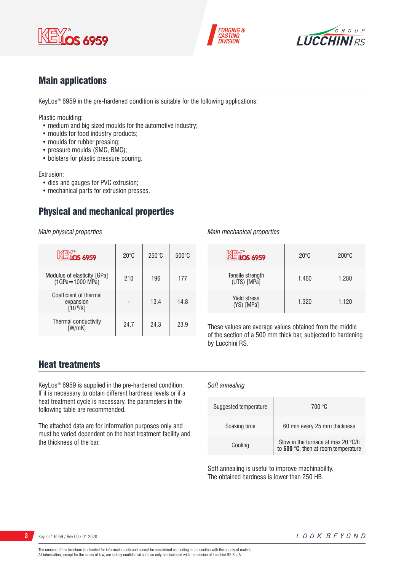





## Main applications

KeyLos® 6959 in the pre-hardened condition is suitable for the following applications:

Plastic moulding:

- medium and big sized moulds for the automotive industry;
- moulds for food industry products;
- moulds for rubber pressing;
- pressure moulds (SMC, BMC);
- bolsters for plastic pressure pouring.

Extrusion:

- dies and gauges for PVC extrusion;
- mechanical parts for extrusion presses.

# Physical and mechanical properties

*Main physical properties*

| <b>KEYOS 6959</b>                                    | $20^{\circ}$ C | $250^\circ C$ | $500^{\circ}$ C |
|------------------------------------------------------|----------------|---------------|-----------------|
| Modulus of elasticity [GPa]<br>(1GPa=1000 MPa)       | 210            | 196           | 177             |
| Coefficient of thermal<br>expansion<br>$[10^{-6}/K]$ |                | 13,4          | 14.8            |
| Thermal conductivity<br>[W/mK]                       | 24,7           | 24,3          | 23,9            |

#### *Main mechanical properties*

| <b>NEVOS 6959</b>                 | $20^{\circ}$ C | $200^{\circ}$ C |
|-----------------------------------|----------------|-----------------|
| Tensile strength<br>(UTS) [MPa]   | 1.460          | 1.280           |
| <b>Yield stress</b><br>(YS) [MPa] | 1.320          | 1.120           |

These values are average values obtained from the middle of the section of a 500 mm thick bar, subjected to hardening by Lucchini RS.

## Heat treatments

KeyLos® 6959 is supplied in the pre-hardened condition. If it is necessary to obtain different hardness levels or if a heat treatment cycle is necessary, the parameters in the following table are recommended.

The attached data are for information purposes only and must be varied dependent on the heat treatment facility and the thickness of the bar.

#### *Soft annealing*

| Suggested temperature | 700 °C                                                                    |
|-----------------------|---------------------------------------------------------------------------|
| Soaking time          | 60 min every 25 mm thickness                                              |
| Cooling               | Slow in the furnace at max 20 °C/h<br>to 600 °C, then at room temperature |

Soft annealing is useful to improve machinability. The obtained hardness is lower than 250 HB.

**3** KeyLos® 6959 / Rev.00 / 01.2020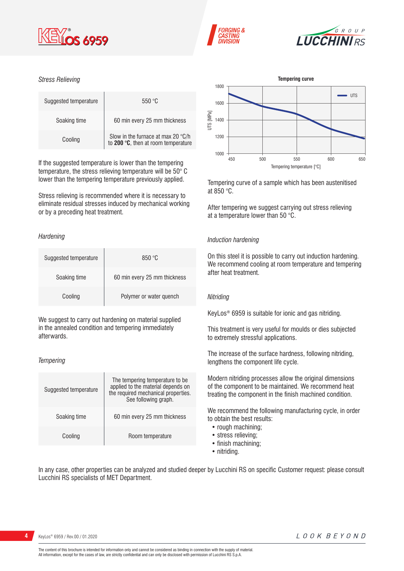





#### *Stress Relieving*

| Suggested temperature | 550 °C                                                                                            |
|-----------------------|---------------------------------------------------------------------------------------------------|
| Soaking time          | 60 min every 25 mm thickness                                                                      |
| Cooling               | Slow in the furnace at max 20 $^{\circ}$ C/h to <b>200</b> $^{\circ}$ C, then at room temperature |

If the suggested temperature is lower than the tempering temperature, the stress relieving temperature will be 50° C lower than the tempering temperature previously applied.

Stress relieving is recommended where it is necessary to eliminate residual stresses induced by mechanical working or by a preceding heat treatment.

#### *Hardening*

| Suggested temperature | 850 °C                       |
|-----------------------|------------------------------|
| Soaking time          | 60 min every 25 mm thickness |
| Cooling               | Polymer or water quench      |

We suggest to carry out hardening on material supplied in the annealed condition and tempering immediately afterwards.

#### *Tempering*

| Suggested temperature | The tempering temperature to be.<br>applied to the material depends on<br>the required mechanical properties.<br>See following graph. |
|-----------------------|---------------------------------------------------------------------------------------------------------------------------------------|
| Soaking time          | 60 min every 25 mm thickness                                                                                                          |
| Cooling               | Room temperature                                                                                                                      |



Tempering curve of a sample which has been austenitised at 850 °C.

After tempering we suggest carrying out stress relieving at a temperature lower than 50 °C.

#### *Induction hardening*

On this steel it is possible to carry out induction hardening. We recommend cooling at room temperature and tempering after heat treatment.

#### *Nitriding*

KeyLos® 6959 is suitable for ionic and gas nitriding.

This treatment is very useful for moulds or dies subjected to extremely stressful applications.

The increase of the surface hardness, following nitriding, lengthens the component life cycle.

Modern nitriding processes allow the original dimensions of the component to be maintained. We recommend heat treating the component in the finish machined condition.

We recommend the following manufacturing cycle, in order to obtain the best results:

- rough machining;
- stress relieving;
- finish machining;
- nitriding.

In any case, other properties can be analyzed and studied deeper by Lucchini RS on specific Customer request: please consult Lucchini RS specialists of MET Department.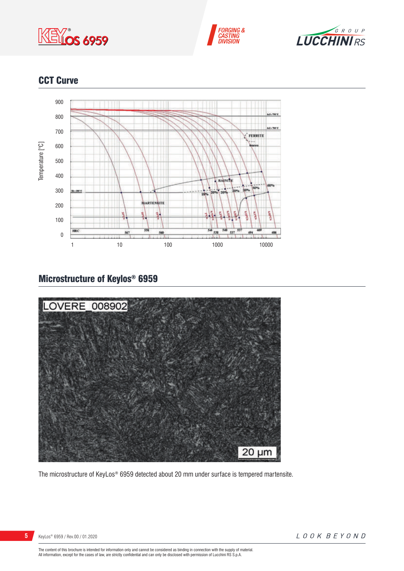





# CCT Curve



# Microstructure of Keylos® 6959



The microstructure of KeyLos® 6959 detected about 20 mm under surface is tempered martensite.

KeyLos® 6959 / Rev.00 / 01.2020

LOOK BEYOND

The content of this brochure is intended for information only and cannot be considered as binding in connection with the supply of material.<br>All information, except for the cases of law, are strictly confidential and can o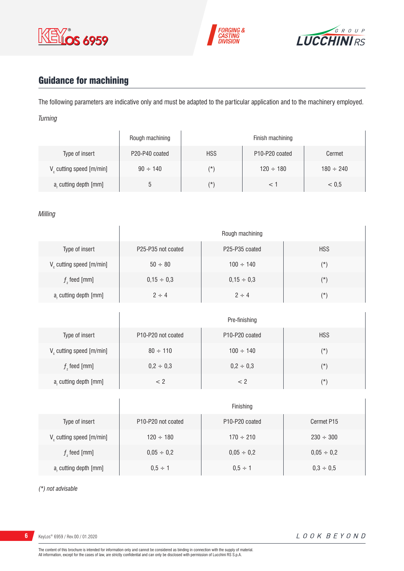





# Guidance for machining

The following parameters are indicative only and must be adapted to the particular application and to the machinery employed. *Turning*

|                                      | Rough machining |            | Finish machining                        |                |
|--------------------------------------|-----------------|------------|-----------------------------------------|----------------|
| Type of insert                       | P20-P40 coated  | <b>HSS</b> | P <sub>10</sub> -P <sub>20</sub> coated | Cermet         |
| V <sub>c</sub> cutting speed [m/min] | $90 \div 140$   | (*`        | $120 \div 180$                          | $180 \div 240$ |
| a, cutting depth [mm]                | b               | (*         |                                         | < 0.5          |

#### *Milling*

|                                      | Rough machining    |                                         |            |
|--------------------------------------|--------------------|-----------------------------------------|------------|
| Type of insert                       | P25-P35 not coated | P <sub>25</sub> -P <sub>35</sub> coated | <b>HSS</b> |
| V <sub>c</sub> cutting speed [m/min] | $50 \div 80$       | $100 \div 140$                          | $(\star)$  |
| $fz$ feed [mm]                       | $0,15 \div 0,3$    | $0,15 \div 0,3$                         | $(\star)$  |
| a, cutting depth [mm]                | $2 \div 4$         | $2 \div 4$                              | $(\star)$  |

|                                      | Pre-finishing                               |                                         |            |
|--------------------------------------|---------------------------------------------|-----------------------------------------|------------|
| Type of insert                       | P <sub>10</sub> -P <sub>20</sub> not coated | P <sub>10</sub> -P <sub>20</sub> coated | <b>HSS</b> |
| V <sub>c</sub> cutting speed [m/min] | $80 \div 110$                               | $100 \div 140$                          | $(\star)$  |
| $fz$ feed [mm]                       | $0,2 \div 0,3$                              | $0,2 \div 0,3$                          | $(\star)$  |
| a, cutting depth [mm]                | < 2                                         | < 2                                     | $(\star)$  |

|                               | Finishing                                   |                                         |                 |
|-------------------------------|---------------------------------------------|-----------------------------------------|-----------------|
| Type of insert                | P <sub>10</sub> -P <sub>20</sub> not coated | P <sub>10</sub> -P <sub>20</sub> coated | Cermet P15      |
| $V_c$ cutting speed $[m/min]$ | $120 \div 180$                              | $170 \div 210$                          | $230 \div 300$  |
| $f$ , feed [mm]               | $0,05 \div 0,2$                             | $0,05 \div 0,2$                         | $0,05 \div 0,2$ |
| a, cutting depth [mm]         | $0,5 \div 1$                                | $0.5 \div 1$                            | $0,3 \div 0,5$  |

*(\*) not advisable*

**6** KeyLos® 6959 / Rev.00 / 01.2020

 $\overline{1}$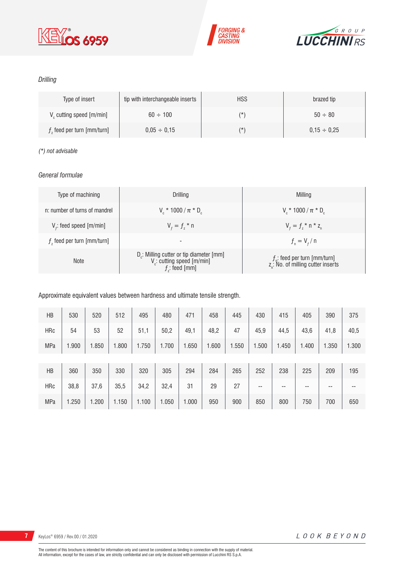





### *Drilling*

| Type of insert                | tip with interchangeable inserts | <b>HSS</b> | brazed tip       |
|-------------------------------|----------------------------------|------------|------------------|
| $V_c$ cutting speed [m/min]   | $60 \div 100$                    | (*)        | $50 \div 80$     |
| $f$ , feed per turn [mm/turn] | $0.05 \div 0.15$                 | $(\star)$  | $0.15 \div 0.25$ |

#### *(\*) not advisable*

#### *General formulae*

| Type of machining             | Drilling                                                                                                          | Milling                                                                             |
|-------------------------------|-------------------------------------------------------------------------------------------------------------------|-------------------------------------------------------------------------------------|
| n: number of turns of mandrel | $V_r * 1000 / \pi * D_r$                                                                                          | $V_r * 1000 / \pi * D_r$                                                            |
| $V_f$ : feed speed [m/min]    | $V_{f} = f_{7}$ * n                                                                                               | $V_{f} = f_{i} * n * z_{n}$                                                         |
| $fz$ feed per turn [mm/turn]  | $\overline{\phantom{a}}$                                                                                          | $f_{n} = V_{f} / n$                                                                 |
| <b>Note</b>                   | D <sub>r</sub> : Milling cutter or tip diameter [mm]<br>V <sub>c</sub> : cutting speed [m/min]<br>$f$ ; feed [mm] | $f_{n}$ : feed per turn [mm/turn]<br>z <sub>n</sub> : No. of milling cutter inserts |

#### Approximate equivalent values between hardness and ultimate tensile strength.

| HB         | 530   | 520   | 512   | 495   | 480   | 471   | 458   | 445   | 430   | 415   | 405   | 390   | 375   |
|------------|-------|-------|-------|-------|-------|-------|-------|-------|-------|-------|-------|-------|-------|
| HRc        | 54    | 53    | 52    | 51,1  | 50,2  | 49,1  | 48,2  | 47    | 45,9  | 44,5  | 43,6  | 41,8  | 40,5  |
| <b>MPa</b> | 1.900 | 1.850 | 1.800 | 1.750 | 1.700 | 1.650 | 1.600 | 1.550 | 1.500 | 1.450 | 1.400 | 1.350 | 1.300 |
|            |       |       |       |       |       |       |       |       |       |       |       |       |       |
| HB         | 360   | 350   | 330   | 320   | 305   | 294   | 284   | 265   | 252   | 238   | 225   | 209   | 195   |
| <b>HRc</b> | 38,8  | 37,6  | 35,5  | 34,2  | 32,4  | 31    | 29    | 27    | --    | --    | --    | --    | --    |
| <b>MPa</b> | 1.250 | 1.200 | 1.150 | 1.100 | 1.050 | 1.000 | 950   | 900   | 850   | 800   | 750   | 700   | 650   |